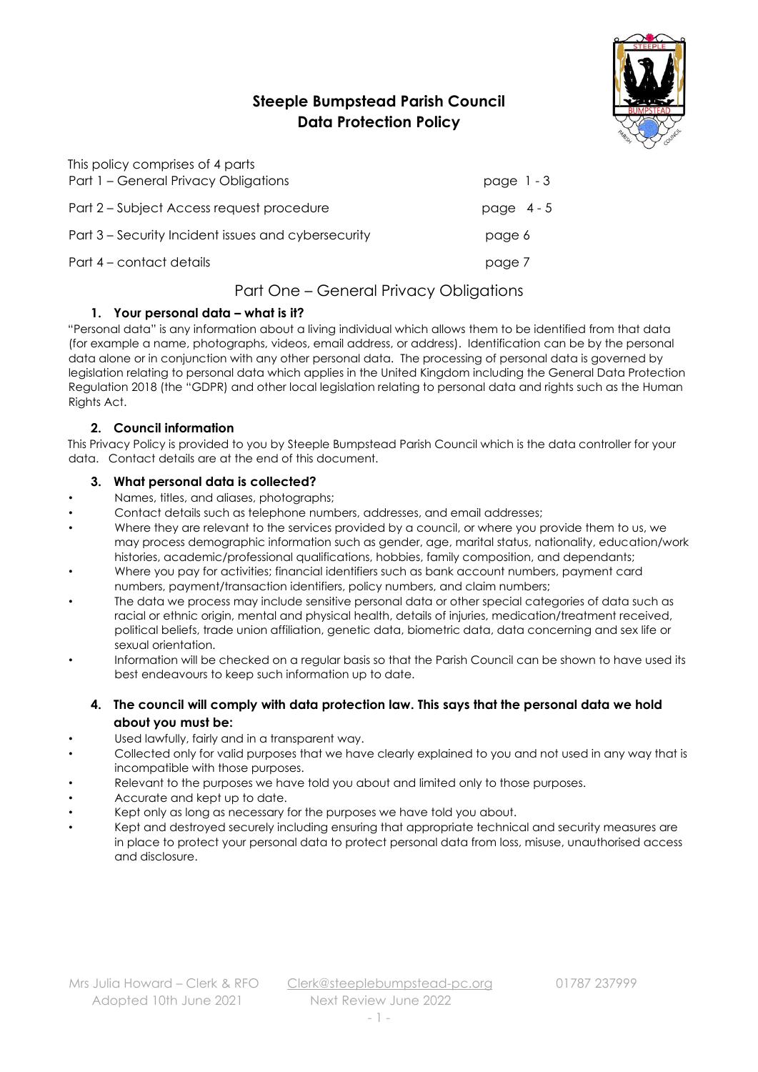# **Steeple Bumpstead Parish Council Data Protection Policy**



| This policy comprises of 4 parts                    |              |
|-----------------------------------------------------|--------------|
| Part 1 - General Privacy Obligations                | page $1 - 3$ |
| Part 2 – Subject Access request procedure           | page $4-5$   |
| Part 3 – Security Incident issues and cybersecurity | page 6       |
| Part 4 – contact details                            | page 7       |

# Part One – General Privacy Obligations

# **1. Your personal data – what is it?**

"Personal data" is any information about a living individual which allows them to be identified from that data (for example a name, photographs, videos, email address, or address). Identification can be by the personal data alone or in conjunction with any other personal data. The processing of personal data is governed by legislation relating to personal data which applies in the United Kingdom including the General Data Protection Regulation 2018 (the "GDPR) and other local legislation relating to personal data and rights such as the Human Rights Act.

# **2. Council information**

This Privacy Policy is provided to you by Steeple Bumpstead Parish Council which is the data controller for your data. Contact details are at the end of this document.

# **3. What personal data is collected?**

- Names, titles, and aliases, photographs;
- Contact details such as telephone numbers, addresses, and email addresses;
- Where they are relevant to the services provided by a council, or where you provide them to us, we may process demographic information such as gender, age, marital status, nationality, education/work histories, academic/professional qualifications, hobbies, family composition, and dependants;
- Where you pay for activities; financial identifiers such as bank account numbers, payment card numbers, payment/transaction identifiers, policy numbers, and claim numbers;
- The data we process may include sensitive personal data or other special categories of data such as racial or ethnic origin, mental and physical health, details of injuries, medication/treatment received, political beliefs, trade union affiliation, genetic data, biometric data, data concerning and sex life or sexual orientation.
- Information will be checked on a regular basis so that the Parish Council can be shown to have used its best endeavours to keep such information up to date.
	- **4. The council will comply with data protection law. This says that the personal data we hold about you must be:**
- Used lawfully, fairly and in a transparent way.
- Collected only for valid purposes that we have clearly explained to you and not used in any way that is incompatible with those purposes.
- Relevant to the purposes we have told you about and limited only to those purposes.
- Accurate and kept up to date.
- Kept only as long as necessary for the purposes we have told you about.
- Kept and destroyed securely including ensuring that appropriate technical and security measures are in place to protect your personal data to protect personal data from loss, misuse, unauthorised access and disclosure.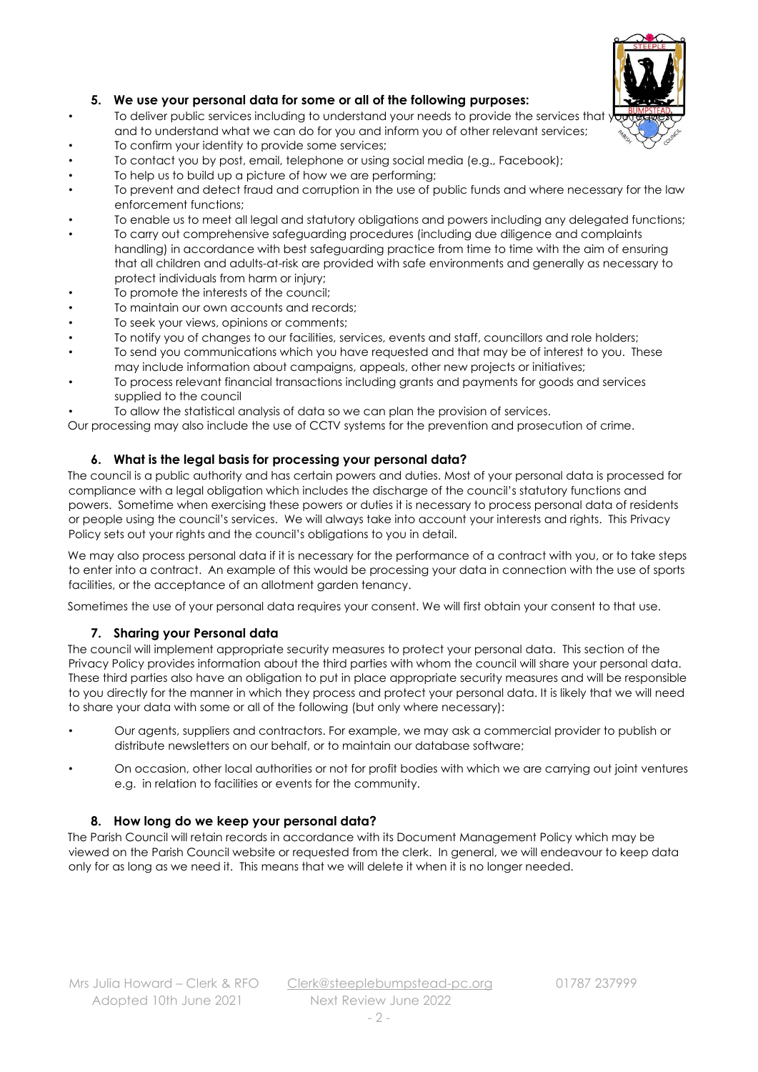

### **5. We use your personal data for some or all of the following purposes:**

- To deliver public services including to understand your needs to provide the services that you and to understand what we can do for you and inform you of other relevant services;
- To confirm your identity to provide some services;
- To contact you by post, email, telephone or using social media (e.g., Facebook);
- To help us to build up a picture of how we are performing;
- To prevent and detect fraud and corruption in the use of public funds and where necessary for the law enforcement functions;
- To enable us to meet all legal and statutory obligations and powers including any delegated functions;
- To carry out comprehensive safeguarding procedures (including due diligence and complaints handling) in accordance with best safeguarding practice from time to time with the aim of ensuring that all children and adults-at-risk are provided with safe environments and generally as necessary to protect individuals from harm or injury;
- To promote the interests of the council;
- To maintain our own accounts and records;
- To seek your views, opinions or comments;
- To notify you of changes to our facilities, services, events and staff, councillors and role holders;
- To send you communications which you have requested and that may be of interest to you. These may include information about campaigns, appeals, other new projects or initiatives;
- To process relevant financial transactions including grants and payments for goods and services supplied to the council
- To allow the statistical analysis of data so we can plan the provision of services.

Our processing may also include the use of CCTV systems for the prevention and prosecution of crime.

#### **6. What is the legal basis for processing your personal data?**

The council is a public authority and has certain powers and duties. Most of your personal data is processed for compliance with a legal obligation which includes the discharge of the council's statutory functions and powers. Sometime when exercising these powers or duties it is necessary to process personal data of residents or people using the council's services. We will always take into account your interests and rights. This Privacy Policy sets out your rights and the council's obligations to you in detail.

We may also process personal data if it is necessary for the performance of a contract with you, or to take steps to enter into a contract. An example of this would be processing your data in connection with the use of sports facilities, or the acceptance of an allotment garden tenancy.

Sometimes the use of your personal data requires your consent. We will first obtain your consent to that use.

### **7. Sharing your Personal data**

The council will implement appropriate security measures to protect your personal data. This section of the Privacy Policy provides information about the third parties with whom the council will share your personal data. These third parties also have an obligation to put in place appropriate security measures and will be responsible to you directly for the manner in which they process and protect your personal data. It is likely that we will need to share your data with some or all of the following (but only where necessary):

- Our agents, suppliers and contractors. For example, we may ask a commercial provider to publish or distribute newsletters on our behalf, or to maintain our database software;
- On occasion, other local authorities or not for profit bodies with which we are carrying out joint ventures e.g. in relation to facilities or events for the community.

#### **8. How long do we keep your personal data?**

The Parish Council will retain records in accordance with its Document Management Policy which may be viewed on the Parish Council website or requested from the clerk. In general, we will endeavour to keep data only for as long as we need it. This means that we will delete it when it is no longer needed.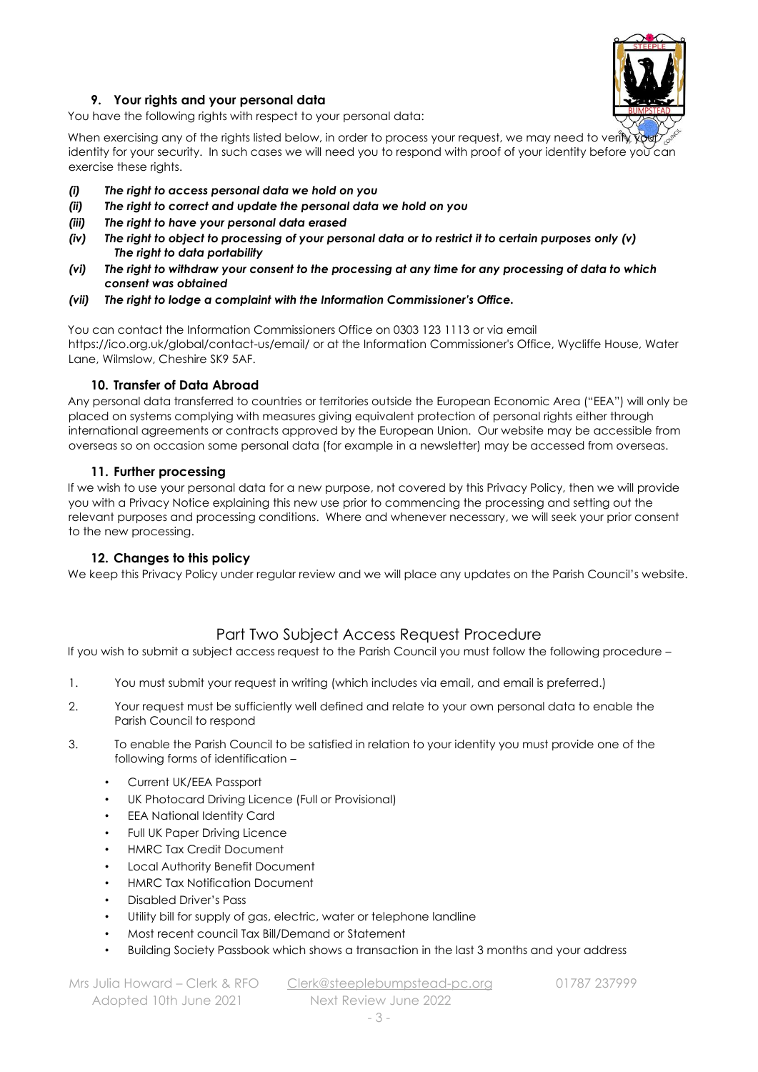

### **9. Your rights and your personal data**

You have the following rights with respect to your personal data:

When exercising any of the rights listed below, in order to process your request, we may need to verify your identity for your security. In such cases we will need you to respond with proof of your identity before you can exercise these rights.

- *(i) The right to access personal data we hold on you*
- *(ii) The right to correct and update the personal data we hold on you*
- *(iii) The right to have your personal data erased*
- *(iv) The right to object to processing of your personal data or to restrict it to certain purposes only (v) The right to data portability*
- *(vi) The right to withdraw your consent to the processing at any time for any processing of data to which consent was obtained*
- *(vii) The right to lodge a complaint with the Information Commissioner's Office.*

You can contact the Information Commissioners Office on 0303 123 1113 or via email https://ico.org.uk/global/contact-us/email/ or at the Information Commissioner's Office, Wycliffe House, Water Lane, Wilmslow, Cheshire SK9 5AF.

#### **10. Transfer of Data Abroad**

Any personal data transferred to countries or territories outside the European Economic Area ("EEA") will only be placed on systems complying with measures giving equivalent protection of personal rights either through international agreements or contracts approved by the European Union. Our website may be accessible from overseas so on occasion some personal data (for example in a newsletter) may be accessed from overseas.

#### **11. Further processing**

If we wish to use your personal data for a new purpose, not covered by this Privacy Policy, then we will provide you with a Privacy Notice explaining this new use prior to commencing the processing and setting out the relevant purposes and processing conditions. Where and whenever necessary, we will seek your prior consent to the new processing.

#### **12. Changes to this policy**

We keep this Privacy Policy under regular review and we will place any updates on the Parish Council's website.

# Part Two Subject Access Request Procedure

If you wish to submit a subject access request to the Parish Council you must follow the following procedure –

- 1. You must submit your request in writing (which includes via email, and email is preferred.)
- 2. Your request must be sufficiently well defined and relate to your own personal data to enable the Parish Council to respond
- 3. To enable the Parish Council to be satisfied in relation to your identity you must provide one of the following forms of identification –
	- Current UK/EEA Passport
	- UK Photocard Driving Licence (Full or Provisional)
	- EEA National Identity Card
	- Full UK Paper Driving Licence
	- HMRC Tax Credit Document
	- Local Authority Benefit Document
	- HMRC Tax Notification Document
	- Disabled Driver's Pass
	- Utility bill for supply of gas, electric, water or telephone landline
	- Most recent council Tax Bill/Demand or Statement
	- Building Society Passbook which shows a transaction in the last 3 months and your address

Adopted 10th June 2021 Next Review June 2022

Mrs Julia Howard – Clerk & RFO [Clerk@steeplebumpstead-pc.org](mailto:Clerk@steeplebumpstead-pc.org) 01787 237999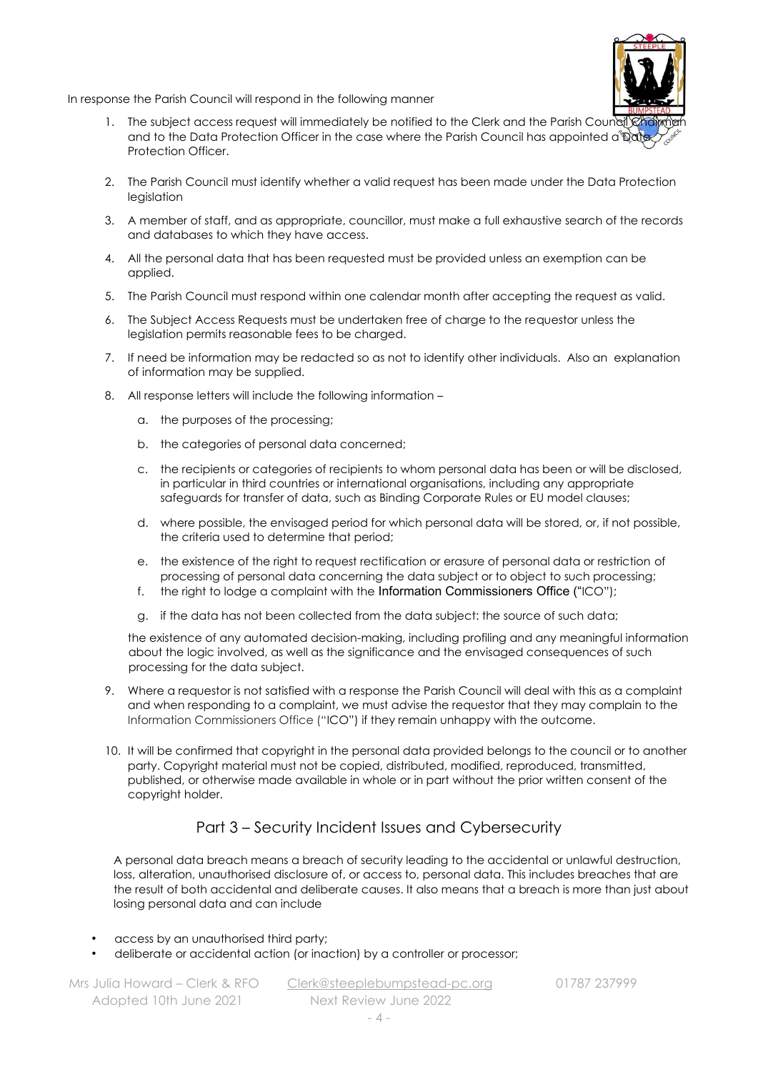In response the Parish Council will respond in the following manner

- 1. The subject access request will immediately be notified to the Clerk and the Parish Council Chairman and to the Data Protection Officer in the case where the Parish Council has appointed a **Date** Protection Officer.
- 2. The Parish Council must identify whether a valid request has been made under the Data Protection legislation
- 3. A member of staff, and as appropriate, councillor, must make a full exhaustive search of the records and databases to which they have access.
- 4. All the personal data that has been requested must be provided unless an exemption can be applied.
- 5. The Parish Council must respond within one calendar month after accepting the request as valid.
- 6. The Subject Access Requests must be undertaken free of charge to the requestor unless the legislation permits reasonable fees to be charged.
- 7. If need be information may be redacted so as not to identify other individuals. Also an explanation of information may be supplied.
- 8. All response letters will include the following information
	- a. the purposes of the processing;
	- b. the categories of personal data concerned;
	- c. the recipients or categories of recipients to whom personal data has been or will be disclosed, in particular in third countries or international organisations, including any appropriate safeguards for transfer of data, such as Binding Corporate Rules or EU model clauses;
	- d. where possible, the envisaged period for which personal data will be stored, or, if not possible, the criteria used to determine that period;
	- e. the existence of the right to request rectification or erasure of personal data or restriction of processing of personal data concerning the data subject or to object to such processing;
	- f. the right to lodge a complaint with the Information Commissioners Office ("ICO");
	- g. if the data has not been collected from the data subject: the source of such data;

the existence of any automated decision-making, including profiling and any meaningful information about the logic involved, as well as the significance and the envisaged consequences of such processing for the data subject.

- 9. Where a requestor is not satisfied with a response the Parish Council will deal with this as a complaint and when responding to a complaint, we must advise the requestor that they may complain to the Information Commissioners Office ("ICO") if they remain unhappy with the outcome.
- 10. It will be confirmed that copyright in the personal data provided belongs to the council or to another party. Copyright material must not be copied, distributed, modified, reproduced, transmitted, published, or otherwise made available in whole or in part without the prior written consent of the copyright holder.

# Part 3 – Security Incident Issues and Cybersecurity

A personal data breach means a breach of security leading to the accidental or unlawful destruction, loss, alteration, unauthorised disclosure of, or access to, personal data. This includes breaches that are the result of both accidental and deliberate causes. It also means that a breach is more than just about losing personal data and can include

- access by an unauthorised third party;
- deliberate or accidental action (or inaction) by a controller or processor;

Adopted 10th June 2021 Next Review June 2022